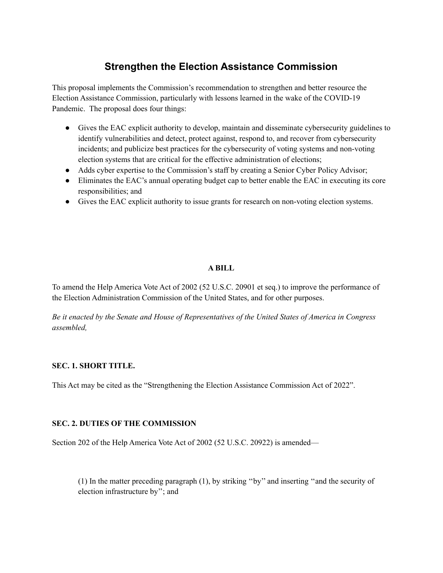# **Strengthen the Election Assistance Commission**

This proposal implements the Commission's recommendation to strengthen and better resource the Election Assistance Commission, particularly with lessons learned in the wake of the COVID-19 Pandemic. The proposal does four things:

- Gives the EAC explicit authority to develop, maintain and disseminate cybersecurity guidelines to identify vulnerabilities and detect, protect against, respond to, and recover from cybersecurity incidents; and publicize best practices for the cybersecurity of voting systems and non-voting election systems that are critical for the effective administration of elections;
- Adds cyber expertise to the Commission's staff by creating a Senior Cyber Policy Advisor;
- Eliminates the EAC's annual operating budget cap to better enable the EAC in executing its core responsibilities; and
- Gives the EAC explicit authority to issue grants for research on non-voting election systems.

#### **A BILL**

To amend the Help America Vote Act of 2002 (52 U.S.C. 20901 et seq.) to improve the performance of the Election Administration Commission of the United States, and for other purposes.

Be it enacted by the Senate and House of Representatives of the United States of America in Congress *assembled,*

#### **SEC. 1. SHORT TITLE.**

This Act may be cited as the "Strengthening the Election Assistance Commission Act of 2022".

#### **SEC. 2. DUTIES OF THE COMMISSION**

Section 202 of the Help America Vote Act of 2002 (52 U.S.C. 20922) is amended—

(1) In the matter preceding paragraph (1), by striking ''by'' and inserting ''and the security of election infrastructure by''; and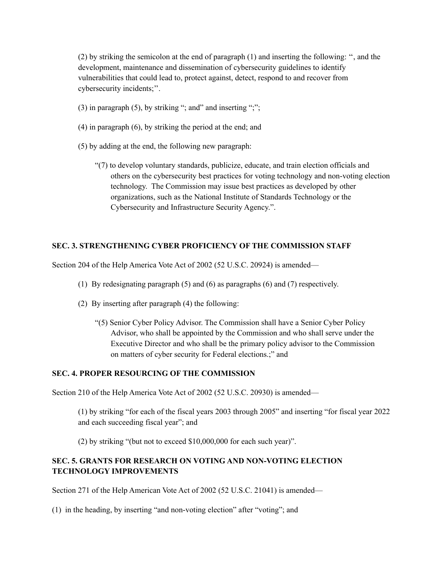(2) by striking the semicolon at the end of paragraph (1) and inserting the following: '', and the development, maintenance and dissemination of cybersecurity guidelines to identify vulnerabilities that could lead to, protect against, detect, respond to and recover from cybersecurity incidents;''.

- (3) in paragraph  $(5)$ , by striking "; and" and inserting ";";
- (4) in paragraph (6), by striking the period at the end; and
- (5) by adding at the end, the following new paragraph:
	- "(7) to develop voluntary standards, publicize, educate, and train election officials and others on the cybersecurity best practices for voting technology and non-voting election technology. The Commission may issue best practices as developed by other organizations, such as the National Institute of Standards Technology or the Cybersecurity and Infrastructure Security Agency.".

### **SEC. 3. STRENGTHENING CYBER PROFICIENCY OF THE COMMISSION STAFF**

Section 204 of the Help America Vote Act of 2002 (52 U.S.C. 20924) is amended—

- (1) By redesignating paragraph (5) and (6) as paragraphs (6) and (7) respectively.
- (2) By inserting after paragraph (4) the following:
	- "(5) Senior Cyber Policy Advisor. The Commission shall have a Senior Cyber Policy Advisor, who shall be appointed by the Commission and who shall serve under the Executive Director and who shall be the primary policy advisor to the Commission on matters of cyber security for Federal elections.;" and

#### **SEC. 4. PROPER RESOURCING OF THE COMMISSION**

Section 210 of the Help America Vote Act of 2002 (52 U.S.C. 20930) is amended—

(1) by striking "for each of the fiscal years 2003 through 2005" and inserting "for fiscal year 2022 and each succeeding fiscal year"; and

(2) by striking "(but not to exceed \$10,000,000 for each such year)".

## **SEC. 5. GRANTS FOR RESEARCH ON VOTING AND NON-VOTING ELECTION TECHNOLOGY IMPROVEMENTS**

Section 271 of the Help American Vote Act of 2002 (52 U.S.C. 21041) is amended—

(1) in the heading, by inserting "and non-voting election" after "voting"; and